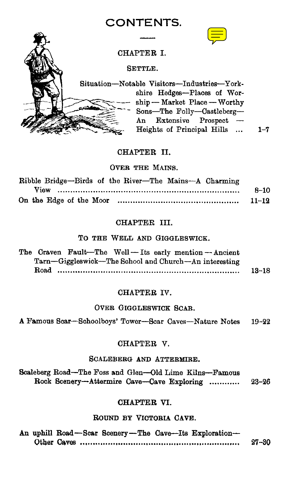## **CONTENTS.**



CHAPTER L

SETTLE.

Situation—Notable Visitors—Industries—Yorkshire Hedges-Places of Worship — Market Place — Worthy<br>Sons—The Folly—Castleberg—<br>An Extensive Prospect — An Extensive Heights of Principal Hills  $\ldots$  1-7

## CHAPTER II.

#### OVER THE MAINS.

| Ribble Bridge-Birds of the River-The Mains-A Charming |           |
|-------------------------------------------------------|-----------|
|                                                       | $8 - 10$  |
|                                                       | $11 - 12$ |

## CHAPTER III.

## To THE WELL AND GIGGLESWICK.

| TO THE WELL AND CREEDSWICK.                                                                                  |           |
|--------------------------------------------------------------------------------------------------------------|-----------|
| The Craven Fault-The Well-Its early mention-Ancient<br>Tarn—Giggleswick—The School and Church—An interesting |           |
| $_{\rm Road}$                                                                                                | $13 - 18$ |
|                                                                                                              |           |

## CHAPTER IV.

## OVER GIGGLESWICK SCAR.

A Famous Scar—Schoolboys' Tower—Scar Caves—Nature Notes 19-22

#### CHAPTER V.

## SCALEBERG AND ATTERMIRE.

Scaleberg Road—The Foss and Glen—Old Lime Kilns—Famous Rock Scenery—Attermire Cave—Cave Exploring ............ 23-26

## CHAPTER VI.

## ROUND BY VICTORIA CAVE.

|  |  |  | An uphill Road-Scar Scenery-The Cave-Its Exploration- |           |
|--|--|--|-------------------------------------------------------|-----------|
|  |  |  |                                                       | $27 - 30$ |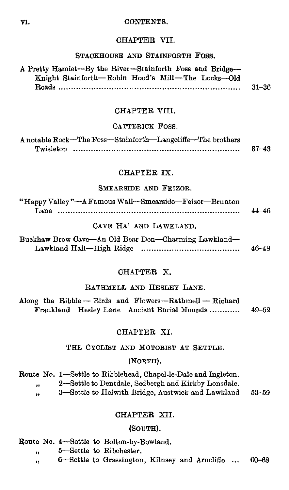#### V1. CONTENTS.

#### CHAPTER VII.

## STACKHOUSE AND STAINFORTH FOSS.

| SIACAHOUSE AND SIAINFUAIR FUSS.                            |           |  |
|------------------------------------------------------------|-----------|--|
| A Pretty Hamlet--By the River--Stainforth Foss and Bridge- |           |  |
| Knight Stainforth-Robin Hood's Mill-The Locks-Old          |           |  |
|                                                            | $31 - 36$ |  |
|                                                            |           |  |

## CHAPTER VIII.

#### CATTERICK FOSS.

|           | A notable Rock-The Foss-Stainforth-Langeliffe-The brothers |           |
|-----------|------------------------------------------------------------|-----------|
| Twisleton |                                                            | $37 - 43$ |

## CHAPTER IX.

#### SMEARSIDE AND FEIZOR.

| "Happy Valley"—A Famous Wall—Smearside—Feizor—Brunton |       |
|-------------------------------------------------------|-------|
| Lane                                                  | 44–46 |

## CAVE HA' AND LAWKLAND.

| Buckhaw Brow Cave—An Old Bear Den—Charming Lawkland— |       |
|------------------------------------------------------|-------|
|                                                      | 46–48 |

## CHAPTER X.

#### RATHMELL AND HESLEY LANE.

Along the Ribble — Birds and Flowers—Rathmell — Richard Frankland—Hesley Lane—Ancient Burial Mounds ............ 49-52

## CHAPTER XI.

## THE CYCLIST AND MOTORIST AT SETTLE.

#### (NORTH).

Route No. 1—Settle to Ribblehead, Chapel-le-Dale and Ingleton. 2—Settle to Dentdale, Sedbergh and Kirkby Lonsdale.  $\ddot{\phantom{a}}$ **f1 h**<sup>3</sup>—Settle to Helwith Bridge, Austwick and Lawkland 53-59

#### CHAPTER XII.

#### (SOuTH).

Route No. 4—Settle to Bolton-by-Bowland.

**I)** 5—Settle to Ribchester.

6—Settle to Grassington, Kilnsey and Arncliffe ... 60-68 ,,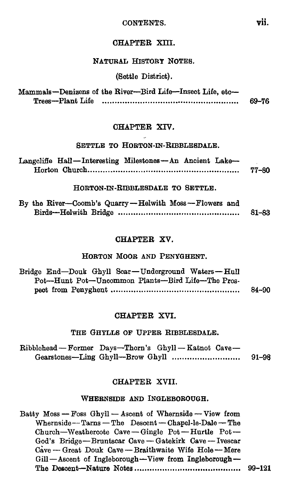**CONTENTS.** vii.

## **CHAPTER XIII.**

## **NATURAL HISTORY NOTES.**

(Settle District).

|                   | Mammals-Denizens of the River-Bird Life-Insect Life, etc- |       |
|-------------------|-----------------------------------------------------------|-------|
| Trees--Plant Life |                                                           | 69–76 |

## CHAPTER **XIV.**

#### **SETTLE TO HORTON-IN-RIBBLESDALE.**

| Langcliffe Hall-Interesting Milestones-An Ancient Lake- |  |       |
|---------------------------------------------------------|--|-------|
|                                                         |  | 77–80 |

**HORTON-IN-RIBBLESDALE TO SETTLE.** 

| By the River-Coomb's Quarry-Helwith Moss-Flowers and |       |
|------------------------------------------------------|-------|
|                                                      | 81–83 |

#### CHAPTER XV.

#### **HORTON MOOR AND PENYGHENT.**

| Bridge End-Douk Ghyll Scar-Underground Waters-Hull |       |
|----------------------------------------------------|-------|
| Pot-Hunt Pot-Uncommon Plants-Bird Life-The Pros-   |       |
|                                                    | 84–90 |

## CHAPTER **XVI.**

#### **THE GHYLLS OF UPPER RIBBLESDALE.**

| Ribblehead - Former Days-Thorn's Ghyll - Katnot Cave- |  |       |
|-------------------------------------------------------|--|-------|
|                                                       |  | 91–98 |

#### CHAPTER XVII.

### **WHERNSIDE AND INGLEBOROUGH.**

Batty Moss — Foss Ghyll — Ascent of Whernside — View from Whernside— Tarns — The Descent —Chapel-le-Dale — The Church—Weathercote Cave — Gingle Pot — Hurtle Pot — God's Bridge —Bruntscar Cave — Gatekirk Cave — Ivescar Cave - Great Douk Cave - Braithwaite Wife Hole - Mere Gill—Ascent of Ingleborough—View from Ingleborough **— The Descent--Nature Notes 99-121**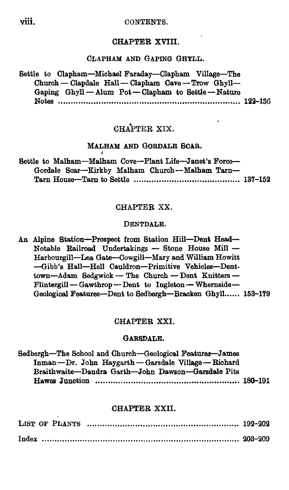#### CONTENTS.

## CHAPTER XVIII.

#### CLAPHAM AND GAPING GHYLL.

Settle to Clapham—Michael Faraday—Clapham Village—The Church — Clapdale Hall— Clapham Cave — Trow Ghyll— Gaping Ghyll — Alum Pot — Clapham to Settle — Nature Notes 122-136

## CHAPTER XIX.

## MALHAM AND GORDALE SCAR.

|  |  |  | Settle to Malham-Malham Cove-Plant Life-Janet's Force- |  |
|--|--|--|--------------------------------------------------------|--|
|  |  |  | Gordale Scar-Kirkby Malham Church-Malham Tarn-         |  |
|  |  |  |                                                        |  |

## CHAPTER XX.

#### DENTDALE.

An Alpine Station—Prospect from Station Hill—Dent Head— Notable Railroad Undertakings — Stone House Mill — Harbourgill—Lea Gate--Cowgill-Mary and William Howitt --Gibb's Hall—Hell Cauldron—Primitive Vehicles—Denttown—Adam Sedgwick — The Church — Dent Knitters — Flintergill — Gawthrop — Dent to Ingleton — Whernside— Geological Features—Dent to Sedbergh—Bracken Ghyll...... 153-179

#### CHAPTER XXI.

#### GARSDALE.

| Sedbergh-The School and Church-Geological Features-James |  |
|----------------------------------------------------------|--|
| Inman-Dr. John Haygarth-Garsdale Village-Richard         |  |
| Braithwaite-Dandra Garth-John Dawson-Garsdale Pits       |  |
|                                                          |  |
|                                                          |  |

## CHAPTER XXII.